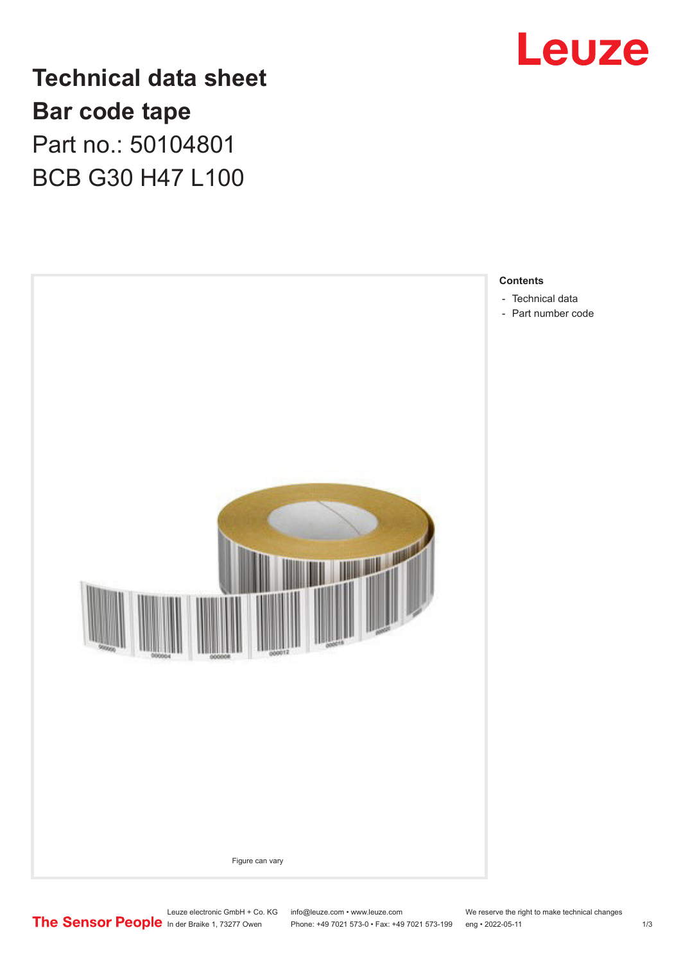

## **Technical data sheet Bar code tape** Part no.: 50104801 BCB G30 H47 L100



- 
- [Part number code](#page-1-0)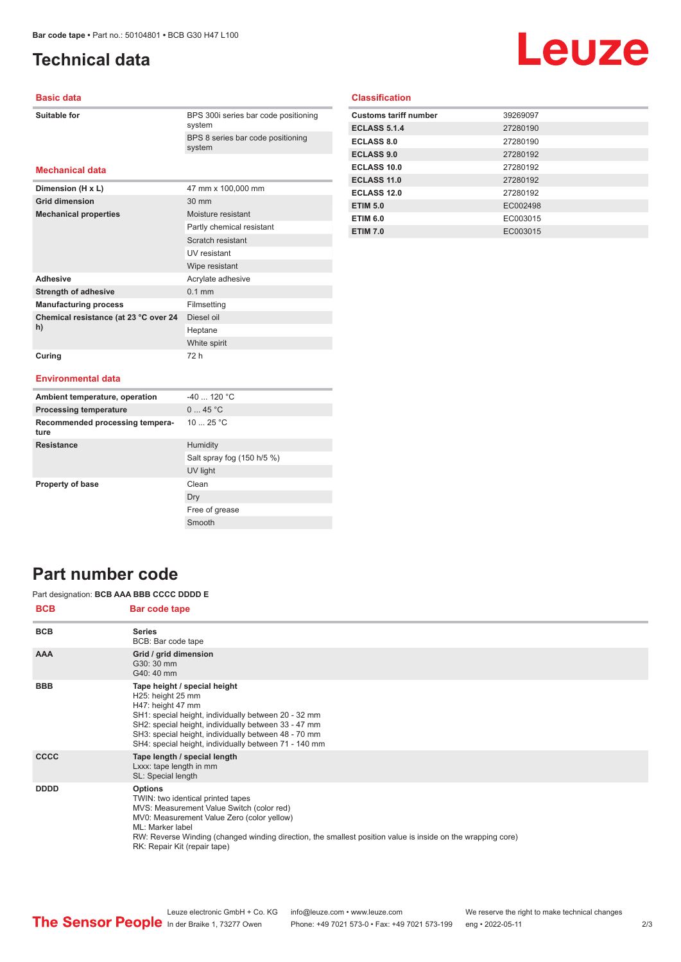## <span id="page-1-0"></span>**Technical data**

# Leuze

#### **Basic data**

| Suitable for |  |
|--------------|--|
|              |  |

BPS 300i series bar code positioning system BPS 8 series bar code positioning system

#### **Mechanical data**

| Dimension (H x L)                           | 47 mm x 100,000 mm        |
|---------------------------------------------|---------------------------|
| <b>Grid dimension</b>                       | $30 \text{ mm}$           |
| <b>Mechanical properties</b>                | Moisture resistant        |
|                                             | Partly chemical resistant |
|                                             | Scratch resistant         |
|                                             | UV resistant              |
|                                             | Wipe resistant            |
| <b>Adhesive</b>                             | Acrylate adhesive         |
| <b>Strength of adhesive</b>                 | $0.1$ mm                  |
| <b>Manufacturing process</b>                | Filmsetting               |
| Chemical resistance (at 23 °C over 24<br>h) | Diesel oil                |
|                                             | Heptane                   |
|                                             | White spirit              |
| Curing                                      | 72 h                      |

#### **Classification**

| <b>Customs tariff number</b> | 39269097 |
|------------------------------|----------|
| <b>ECLASS 5.1.4</b>          | 27280190 |
| <b>ECLASS 8.0</b>            | 27280190 |
| <b>ECLASS 9.0</b>            | 27280192 |
| ECLASS 10.0                  | 27280192 |
| <b>ECLASS 11.0</b>           | 27280192 |
| ECLASS 12.0                  | 27280192 |
| <b>ETIM 5.0</b>              | EC002498 |
| <b>ETIM 6.0</b>              | EC003015 |
| <b>ETIM 7.0</b>              | EC003015 |

#### **Environmental data**

| Ambient temperature, operation          | $-40$ 120 °C               |
|-----------------------------------------|----------------------------|
| <b>Processing temperature</b>           | 045 °C                     |
| Recommended processing tempera-<br>ture | 10 $25 °C$                 |
| <b>Resistance</b>                       | Humidity                   |
|                                         | Salt spray fog (150 h/5 %) |
|                                         | UV light                   |
| <b>Property of base</b>                 | Clean                      |
|                                         | Dry                        |
|                                         | Free of grease             |
|                                         | Smooth                     |

### **Part number code**

Part designation: **BCB AAA BBB CCCC DDDD E**

| <b>BCB</b>  | Bar code tape                                                                                                                                                                                                                                                                                                     |
|-------------|-------------------------------------------------------------------------------------------------------------------------------------------------------------------------------------------------------------------------------------------------------------------------------------------------------------------|
| <b>BCB</b>  | <b>Series</b><br>BCB: Bar code tape                                                                                                                                                                                                                                                                               |
| <b>AAA</b>  | Grid / grid dimension<br>G30: 30 mm<br>G40: 40 mm                                                                                                                                                                                                                                                                 |
| <b>BBB</b>  | Tape height / special height<br>H25: height 25 mm<br>H47: height 47 mm<br>SH1: special height, individually between 20 - 32 mm<br>SH2: special height, individually between 33 - 47 mm<br>SH3: special height, individually between 48 - 70 mm<br>SH4: special height, individually between 71 - 140 mm           |
| <b>CCCC</b> | Tape length / special length<br>Lxxx: tape length in mm<br>SL: Special length                                                                                                                                                                                                                                     |
| <b>DDDD</b> | <b>Options</b><br>TWIN: two identical printed tapes<br>MVS: Measurement Value Switch (color red)<br>MV0: Measurement Value Zero (color yellow)<br>ML: Marker label<br>RW: Reverse Winding (changed winding direction, the smallest position value is inside on the wrapping core)<br>RK: Repair Kit (repair tape) |